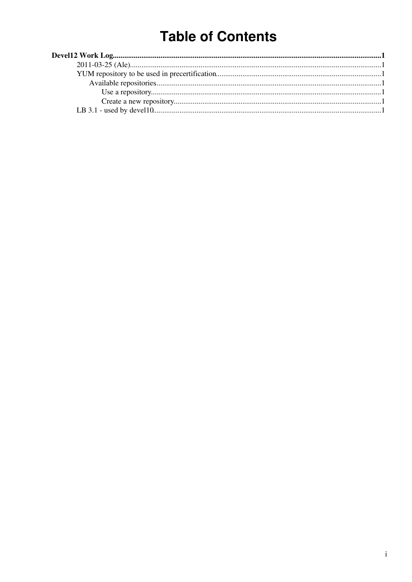# **Table of Contents**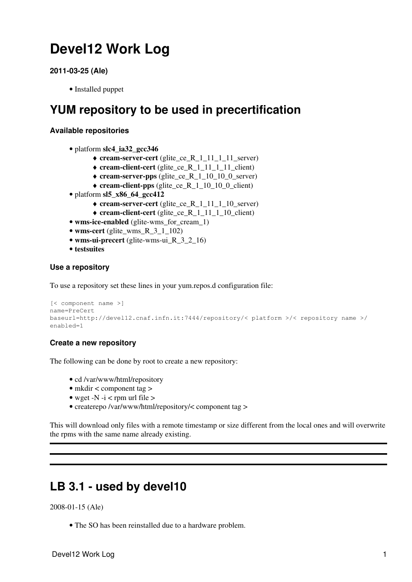## <span id="page-1-0"></span>**Devel12 Work Log**

```
2011-03-25 (Ale)
```
• Installed puppet

### <span id="page-1-2"></span>**YUM repository to be used in precertification**

### <span id="page-1-3"></span>**Available repositories**

- platform **slc4\_ia32\_gcc346**
	- ♦ **cream-server-cert** (glite\_ce\_R\_1\_11\_1\_11\_server)
	- ♦ **cream-client-cert** (glite\_ce\_R\_1\_11\_1\_11\_client)
	- ♦ **cream-server-pps** (glite\_ce\_R\_1\_10\_10\_0\_server)
	- ♦ **cream-client-pps** (glite\_ce\_R\_1\_10\_10\_0\_client)
- platform **sl5\_x86\_64\_gcc412**
	- ♦ **cream-server-cert** (glite\_ce\_R\_1\_11\_1\_10\_server)
	- ♦ **cream-client-cert** (glite\_ce\_R\_1\_11\_1\_10\_client)
- **wms-ice-enabled** (glite-wms\_for\_cream\_1)
- **wms-cert** (glite\_wms\_R\_3\_1\_102)
- wms-ui-precert (glite-wms-ui R 3 2 16)
- **testsuites**

### <span id="page-1-4"></span>**Use a repository**

To use a repository set these lines in your yum.repos.d configuration file:

```
[< component name >]
name=PreCert
baseurl=http://devel12.cnaf.infn.it:7444/repository/< platform >/< repository name >/
enabled=1
```
### <span id="page-1-5"></span>**Create a new repository**

The following can be done by root to create a new repository:

- cd /var/www/html/repository
- mkdir < component tag >
- wget -N -i < rpm url file  $>$
- createrepo /var/www/html/repository/< component tag >

This will download only files with a remote timestamp or size different from the local ones and will overwrite the rpms with the same name already existing.

### <span id="page-1-6"></span>**LB 3.1 - used by devel10**

2008-01-15 (Ale)

• The SO has been reinstalled due to a hardware problem.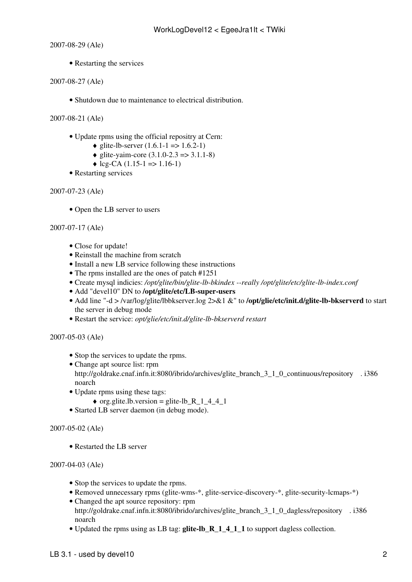2007-08-29 (Ale)

• Restarting the services

2007-08-27 (Ale)

- Shutdown due to maintenance to electrical distribution.
- 2007-08-21 (Ale)
	- Update rpms using the official repositry at Cern:
		- glite-lb-server  $(1.6.1 1 \implies 1.6.2 1)$
		- $\triangleleft$  glite-yaim-core (3.1.0-2.3 => 3.1.1-8)
		- $\triangleleft$  lcg-CA (1.15-1 => 1.16-1)
	- Restarting services

```
2007-07-23 (Ale)
```
• Open the LB server to users

### 2007-07-17 (Ale)

- Close for update!
- Reinstall the machine from scratch
- Install a new LB service following these [instructions](https://twiki.cern.ch/twiki/bin/view/LCG/LBInstallGuide)
- The rpms installed are the ones of patch [#1251](https://savannah.cern.ch/patch/?1251)
- Create mysql indicies: */opt/glite/bin/glite-lb-bkindex --really /opt/glite/etc/glite-lb-index.conf*
- Add "devel10" DN to **/opt/glite/etc/LB-super-users**
- Add line "-d > /var/log/glite/lbbkserver.log 2>&1 &" to /**opt/glie/etc/init.d/glite-lb-bkserverd** to start the server in debug mode
- Restart the service: *opt/glie/etc/init.d/glite-lb-bkserverd restart*

### 2007-05-03 (Ale)

- Stop the services to update the rpms.
- Change apt source list: rpm [http://goldrake.cnaf.infn.it:8080/ibrido/archives/glite\\_branch\\_3\\_1\\_0\\_continuous/repository](http://goldrake.cnaf.infn.it:8080/ibrido/archives/glite_branch_3_1_0_continuous/repository) . i386 noarch
- Update rpms using these tags:
	- $\bullet$  org.glite.lb.version = glite-lb\_R\_1\_4\_4\_1
- Started LB server daemon (in debug mode).

### 2007-05-02 (Ale)

• Restarted the LB server

### 2007-04-03 (Ale)

- Stop the services to update the rpms.
- Removed unnecessary rpms (glite-wms-\*, glite-service-discovery-\*, glite-security-lcmaps-\*)
- Changed the apt source repository: rpm [http://goldrake.cnaf.infn.it:8080/ibrido/archives/glite\\_branch\\_3\\_1\\_0\\_dagless/repository](http://goldrake.cnaf.infn.it:8080/ibrido/archives/glite_branch_3_1_0_dagless/repository) . i386 noarch
- Updated the rpms using as LB tag: **glite-lb\_R\_1\_4\_1\_1** to support dagless collection.